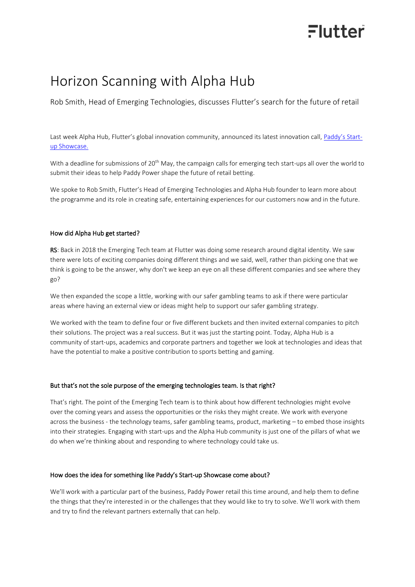# Flutter

### Horizon Scanning with Alpha Hub

Rob Smith, Head of Emerging Technologies, discusses Flutter's search for the future of retail

Last week Alpha Hub, Flutter's global innovation community, announced its latest innovation call, [Paddy's Start](https://alphahub.tech/paddys-startup-showcase/)[up Showcase.](https://alphahub.tech/paddys-startup-showcase/)

With a deadline for submissions of 20<sup>th</sup> May, the campaign calls for emerging tech start-ups all over the world to submit their ideas to help Paddy Power shape the future of retail betting.

We spoke to Rob Smith, Flutter's Head of Emerging Technologies and Alpha Hub founder to learn more about the programme and its role in creating safe, entertaining experiences for our customers now and in the future.

### How did Alpha Hub get started?

RS: Back in 2018 the Emerging Tech team at Flutter was doing some research around digital identity. We saw there were lots of exciting companies doing different things and we said, well, rather than picking one that we think is going to be the answer, why don't we keep an eye on all these different companies and see where they go?

We then expanded the scope a little, working with our safer gambling teams to ask if there were particular areas where having an external view or ideas might help to support our safer gambling strategy.

We worked with the team to define four or five different buckets and then invited external companies to pitch their solutions. The project was a real success. But it was just the starting point. Today, Alpha Hub is a community of start-ups, academics and corporate partners and together we look at technologies and ideas that have the potential to make a positive contribution to sports betting and gaming.

#### But that's not the sole purpose of the emerging technologies team. Is that right?

That's right. The point of the Emerging Tech team is to think about how different technologies might evolve over the coming years and assess the opportunities or the risks they might create. We work with everyone across the business - the technology teams, safer gambling teams, product, marketing – to embed those insights into their strategies. Engaging with start-ups and the Alpha Hub community is just one of the pillars of what we do when we're thinking about and responding to where technology could take us.

### How does the idea for something like Paddy's Start-up Showcase come about?

We'll work with a particular part of the business, Paddy Power retail this time around, and help them to define the things that they're interested in or the challenges that they would like to try to solve. We'll work with them and try to find the relevant partners externally that can help.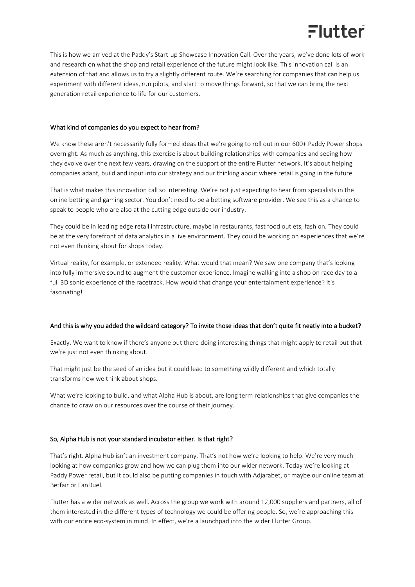# Flutter

This is how we arrived at the Paddy's Start-up Showcase Innovation Call. Over the years, we've done lots of work and research on what the shop and retail experience of the future might look like. This innovation call is an extension of that and allows us to try a slightly different route. We're searching for companies that can help us experiment with different ideas, run pilots, and start to move things forward, so that we can bring the next generation retail experience to life for our customers.

### What kind of companies do you expect to hear from?

We know these aren't necessarily fully formed ideas that we're going to roll out in our 600+ Paddy Power shops overnight. As much as anything, this exercise is about building relationships with companies and seeing how they evolve over the next few years, drawing on the support of the entire Flutter network. It's about helping companies adapt, build and input into our strategy and our thinking about where retail is going in the future.

That is what makes this innovation call so interesting. We're not just expecting to hear from specialists in the online betting and gaming sector. You don't need to be a betting software provider. We see this as a chance to speak to people who are also at the cutting edge outside our industry.

They could be in leading edge retail infrastructure, maybe in restaurants, fast food outlets, fashion. They could be at the very forefront of data analytics in a live environment. They could be working on experiences that we're not even thinking about for shops today.

Virtual reality, for example, or extended reality. What would that mean? We saw one company that's looking into fully immersive sound to augment the customer experience. Imagine walking into a shop on race day to a full 3D sonic experience of the racetrack. How would that change your entertainment experience? It's fascinating!

### And this is why you added the wildcard category? To invite those ideas that don't quite fit neatly into a bucket?

Exactly. We want to know if there's anyone out there doing interesting things that might apply to retail but that we're just not even thinking about.

That might just be the seed of an idea but it could lead to something wildly different and which totally transforms how we think about shops.

What we're looking to build, and what Alpha Hub is about, are long term relationships that give companies the chance to draw on our resources over the course of their journey.

### So, Alpha Hub is not your standard incubator either. Is that right?

That's right. Alpha Hub isn't an investment company. That's not how we're looking to help. We're very much looking at how companies grow and how we can plug them into our wider network. Today we're looking at Paddy Power retail, but it could also be putting companies in touch with Adjarabet, or maybe our online team at Betfair or FanDuel.

Flutter has a wider network as well. Across the group we work with around 12,000 suppliers and partners, all of them interested in the different types of technology we could be offering people. So, we're approaching this with our entire eco-system in mind. In effect, we're a launchpad into the wider Flutter Group.